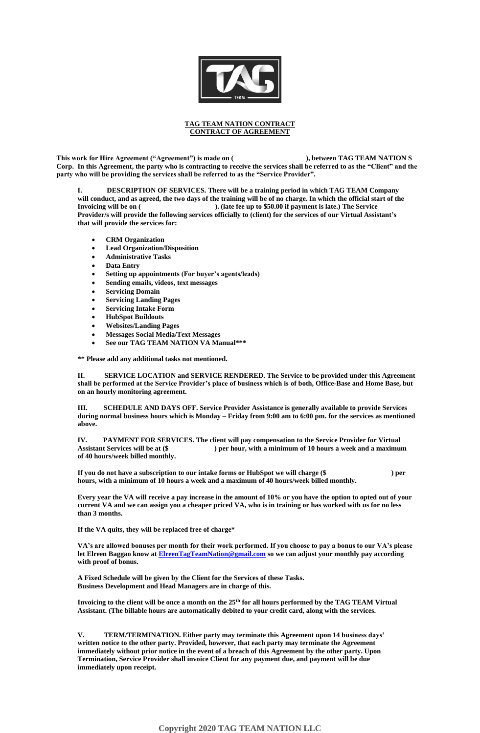

## **TAG TEAM NATION CONTRACT CONTRACT OF AGREEMENT**

**This work for Hire Agreement ("Agreement") is made on ( ), between TAG TEAM NATION S Corp. In this Agreement, the party who is contracting to receive the services shall be referred to as the "Client" and the party who will be providing the services shall be referred to as the "Service Provider".**

**DESCRIPTION OF SERVICES. There will be a training period in which TAG TEAM Company will conduct, and as agreed, the two days of the training will be of no charge. In which the official start of the Invoicing will be on ( ). (late fee up to \$50.00 if payment is late.) The Service Provider/s will provide the following services officially to (client) for the services of our Virtual Assistant's that will provide the services for:**

- **CRM Organization**
- **Lead Organization/Disposition**
- **Administrative Tasks**
- **Data Entry**
- **Setting up appointments (For buyer's agents/leads)**
- **Sending emails, videos, text messages**
- **Servicing Domain**
- **Servicing Landing Pages**
- **Servicing Intake Form**
- **HubSpot Buildouts**
- **Websites/Landing Pages**
- **Messages Social Media/Text Messages**
- **See our TAG TEAM NATION VA Manual\*\*\***

**\*\* Please add any additional tasks not mentioned.**

**II. SERVICE LOCATION and SERVICE RENDERED. The Service to be provided under this Agreement shall be performed at the Service Provider's place of business which is of both, Office-Base and Home Base, but on an hourly monitoring agreement.**

**III. SCHEDULE AND DAYS OFF. Service Provider Assistance is generally available to provide Services during normal business hours which is Monday – Friday from 9:00 am to 6:00 pm. for the services as mentioned above.**

**IV. PAYMENT FOR SERVICES. The client will pay compensation to the Service Provider for Virtual Assistant Services will be at (\$ ) per hour, with a minimum of 10 hours a week and a maximum of 40 hours/week billed monthly.**

**If you do not have a subscription to our intake forms or HubSpot we will charge (\$ ) per hours, with a minimum of 10 hours a week and a maximum of 40 hours/week billed monthly.** 

**Every year the VA will receive a pay increase in the amount of 10% or you have the option to opted out of your current VA and we can assign you a cheaper priced VA, who is in training or has worked with us for no less than 3 months.**

**If the VA quits, they will be replaced free of charge\***

**VA's are allowed bonuses per month for their work performed. If you choose to pay a bonus to our VA's please let Elreen Baggao know a[t ElreenTagTeamNation@gmail.com](mailto:ElreenTagTeamNation@gmail.com) so we can adjust your monthly pay according with proof of bonus.** 

**A Fixed Schedule will be given by the Client for the Services of these Tasks. Business Development and Head Managers are in charge of this.**

**Invoicing to the client will be once a month on the 25th for all hours performed by the TAG TEAM Virtual Assistant. (The billable hours are automatically debited to your credit card, along with the services.** 

**V. TERM/TERMINATION. Either party may terminate this Agreement upon 14 business days' written notice to the other party. Provided, however, that each party may terminate the Agreement immediately without prior notice in the event of a breach of this Agreement by the other party. Upon Termination, Service Provider shall invoice Client for any payment due, and payment will be due immediately upon receipt.**